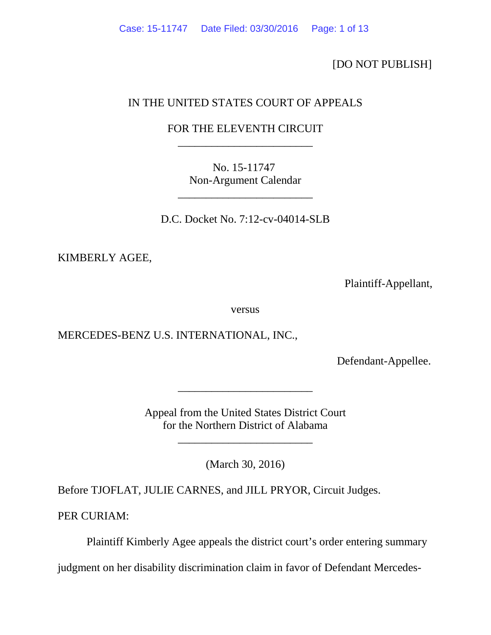[DO NOT PUBLISH]

# IN THE UNITED STATES COURT OF APPEALS

## FOR THE ELEVENTH CIRCUIT \_\_\_\_\_\_\_\_\_\_\_\_\_\_\_\_\_\_\_\_\_\_\_\_

No. 15-11747 Non-Argument Calendar

\_\_\_\_\_\_\_\_\_\_\_\_\_\_\_\_\_\_\_\_\_\_\_\_

D.C. Docket No. 7:12-cv-04014-SLB

KIMBERLY AGEE,

Plaintiff-Appellant,

versus

MERCEDES-BENZ U.S. INTERNATIONAL, INC.,

Defendant-Appellee.

Appeal from the United States District Court for the Northern District of Alabama

\_\_\_\_\_\_\_\_\_\_\_\_\_\_\_\_\_\_\_\_\_\_\_\_

\_\_\_\_\_\_\_\_\_\_\_\_\_\_\_\_\_\_\_\_\_\_\_\_

(March 30, 2016)

Before TJOFLAT, JULIE CARNES, and JILL PRYOR, Circuit Judges.

PER CURIAM:

Plaintiff Kimberly Agee appeals the district court's order entering summary

judgment on her disability discrimination claim in favor of Defendant Mercedes-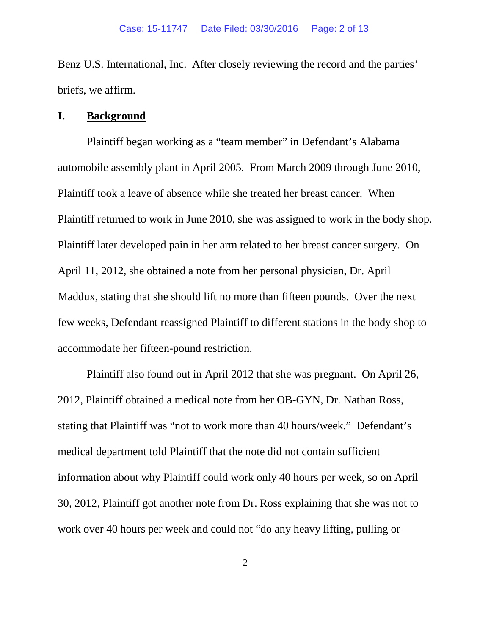Benz U.S. International, Inc. After closely reviewing the record and the parties' briefs, we affirm.

#### **I. Background**

Plaintiff began working as a "team member" in Defendant's Alabama automobile assembly plant in April 2005. From March 2009 through June 2010, Plaintiff took a leave of absence while she treated her breast cancer. When Plaintiff returned to work in June 2010, she was assigned to work in the body shop. Plaintiff later developed pain in her arm related to her breast cancer surgery. On April 11, 2012, she obtained a note from her personal physician, Dr. April Maddux, stating that she should lift no more than fifteen pounds. Over the next few weeks, Defendant reassigned Plaintiff to different stations in the body shop to accommodate her fifteen-pound restriction.

Plaintiff also found out in April 2012 that she was pregnant. On April 26, 2012, Plaintiff obtained a medical note from her OB-GYN, Dr. Nathan Ross, stating that Plaintiff was "not to work more than 40 hours/week." Defendant's medical department told Plaintiff that the note did not contain sufficient information about why Plaintiff could work only 40 hours per week, so on April 30, 2012, Plaintiff got another note from Dr. Ross explaining that she was not to work over 40 hours per week and could not "do any heavy lifting, pulling or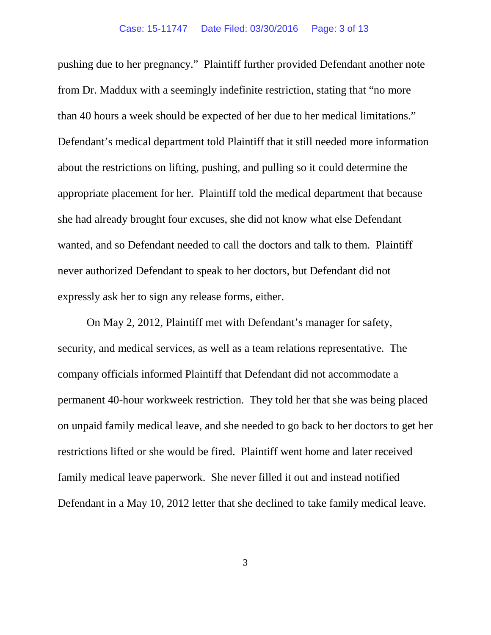pushing due to her pregnancy." Plaintiff further provided Defendant another note from Dr. Maddux with a seemingly indefinite restriction, stating that "no more than 40 hours a week should be expected of her due to her medical limitations." Defendant's medical department told Plaintiff that it still needed more information about the restrictions on lifting, pushing, and pulling so it could determine the appropriate placement for her. Plaintiff told the medical department that because she had already brought four excuses, she did not know what else Defendant wanted, and so Defendant needed to call the doctors and talk to them. Plaintiff never authorized Defendant to speak to her doctors, but Defendant did not expressly ask her to sign any release forms, either.

On May 2, 2012, Plaintiff met with Defendant's manager for safety, security, and medical services, as well as a team relations representative. The company officials informed Plaintiff that Defendant did not accommodate a permanent 40-hour workweek restriction. They told her that she was being placed on unpaid family medical leave, and she needed to go back to her doctors to get her restrictions lifted or she would be fired. Plaintiff went home and later received family medical leave paperwork. She never filled it out and instead notified Defendant in a May 10, 2012 letter that she declined to take family medical leave.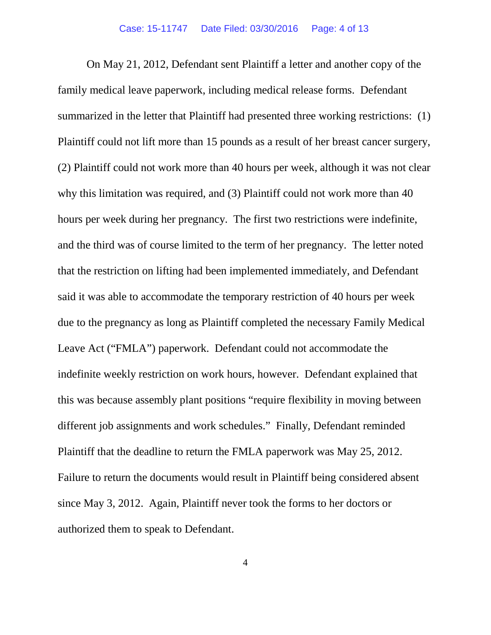On May 21, 2012, Defendant sent Plaintiff a letter and another copy of the family medical leave paperwork, including medical release forms. Defendant summarized in the letter that Plaintiff had presented three working restrictions: (1) Plaintiff could not lift more than 15 pounds as a result of her breast cancer surgery, (2) Plaintiff could not work more than 40 hours per week, although it was not clear why this limitation was required, and (3) Plaintiff could not work more than 40 hours per week during her pregnancy. The first two restrictions were indefinite, and the third was of course limited to the term of her pregnancy. The letter noted that the restriction on lifting had been implemented immediately, and Defendant said it was able to accommodate the temporary restriction of 40 hours per week due to the pregnancy as long as Plaintiff completed the necessary Family Medical Leave Act ("FMLA") paperwork. Defendant could not accommodate the indefinite weekly restriction on work hours, however. Defendant explained that this was because assembly plant positions "require flexibility in moving between different job assignments and work schedules." Finally, Defendant reminded Plaintiff that the deadline to return the FMLA paperwork was May 25, 2012. Failure to return the documents would result in Plaintiff being considered absent since May 3, 2012. Again, Plaintiff never took the forms to her doctors or authorized them to speak to Defendant.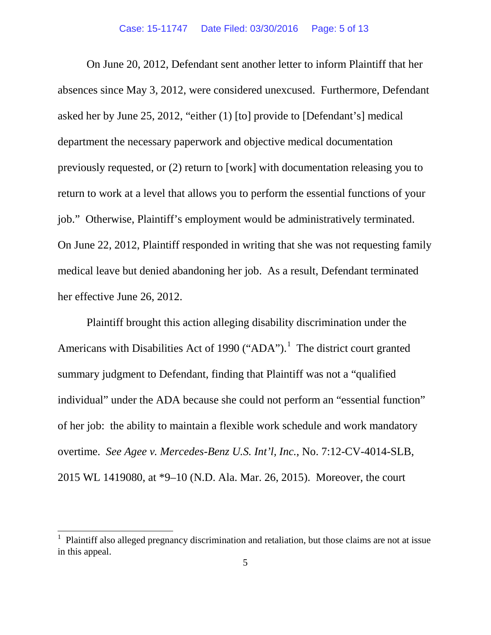On June 20, 2012, Defendant sent another letter to inform Plaintiff that her absences since May 3, 2012, were considered unexcused. Furthermore, Defendant asked her by June 25, 2012, "either (1) [to] provide to [Defendant's] medical department the necessary paperwork and objective medical documentation previously requested, or (2) return to [work] with documentation releasing you to return to work at a level that allows you to perform the essential functions of your job." Otherwise, Plaintiff's employment would be administratively terminated. On June 22, 2012, Plaintiff responded in writing that she was not requesting family medical leave but denied abandoning her job. As a result, Defendant terminated her effective June 26, 2012.

Plaintiff brought this action alleging disability discrimination under the Americans with Disabilities Act of [1](#page-4-0)990 ("ADA").<sup>1</sup> The district court granted summary judgment to Defendant, finding that Plaintiff was not a "qualified individual" under the ADA because she could not perform an "essential function" of her job: the ability to maintain a flexible work schedule and work mandatory overtime. *See Agee v. Mercedes-Benz U.S. Int'l, Inc.*, No. 7:12-CV-4014-SLB, 2015 WL 1419080, at \*9–10 (N.D. Ala. Mar. 26, 2015). Moreover, the court

<span id="page-4-0"></span> <sup>1</sup> Plaintiff also alleged pregnancy discrimination and retaliation, but those claims are not at issue in this appeal.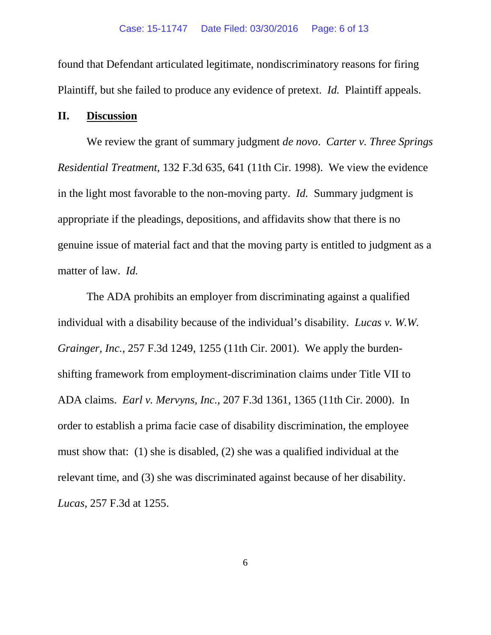found that Defendant articulated legitimate, nondiscriminatory reasons for firing Plaintiff, but she failed to produce any evidence of pretext. *Id.* Plaintiff appeals.

### **II. Discussion**

We review the grant of summary judgment *de novo*. *Carter v. Three Springs Residential Treatment*, 132 F.3d 635, 641 (11th Cir. 1998). We view the evidence in the light most favorable to the non-moving party. *Id.* Summary judgment is appropriate if the pleadings, depositions, and affidavits show that there is no genuine issue of material fact and that the moving party is entitled to judgment as a matter of law. *Id.*

The ADA prohibits an employer from discriminating against a qualified individual with a disability because of the individual's disability. *Lucas v. W.W. Grainger, Inc.*, 257 F.3d 1249, 1255 (11th Cir. 2001). We apply the burdenshifting framework from employment-discrimination claims under Title VII to ADA claims. *Earl v. Mervyns, Inc.*, 207 F.3d 1361, 1365 (11th Cir. 2000). In order to establish a prima facie case of disability discrimination, the employee must show that: (1) she is disabled, (2) she was a qualified individual at the relevant time, and (3) she was discriminated against because of her disability. *Lucas*, 257 F.3d at 1255.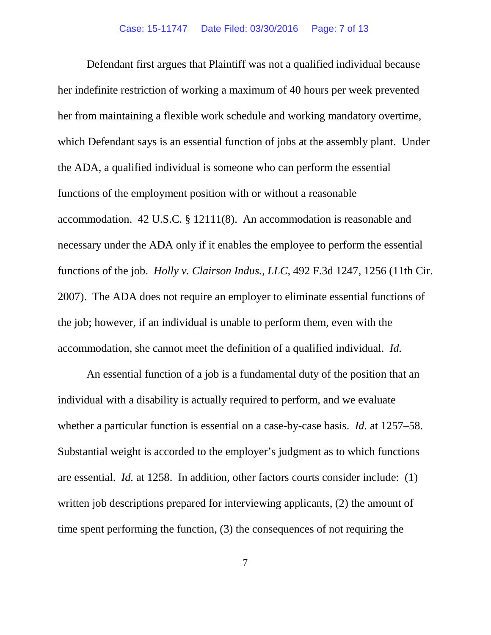Defendant first argues that Plaintiff was not a qualified individual because her indefinite restriction of working a maximum of 40 hours per week prevented her from maintaining a flexible work schedule and working mandatory overtime, which Defendant says is an essential function of jobs at the assembly plant. Under the ADA, a qualified individual is someone who can perform the essential functions of the employment position with or without a reasonable accommodation. 42 U.S.C. § 12111(8). An accommodation is reasonable and necessary under the ADA only if it enables the employee to perform the essential functions of the job. *Holly v. Clairson Indus., LLC*, 492 F.3d 1247, 1256 (11th Cir. 2007). The ADA does not require an employer to eliminate essential functions of the job; however, if an individual is unable to perform them, even with the accommodation, she cannot meet the definition of a qualified individual. *Id.*

An essential function of a job is a fundamental duty of the position that an individual with a disability is actually required to perform, and we evaluate whether a particular function is essential on a case-by-case basis. *Id.* at 1257–58. Substantial weight is accorded to the employer's judgment as to which functions are essential. *Id.* at 1258. In addition, other factors courts consider include: (1) written job descriptions prepared for interviewing applicants, (2) the amount of time spent performing the function, (3) the consequences of not requiring the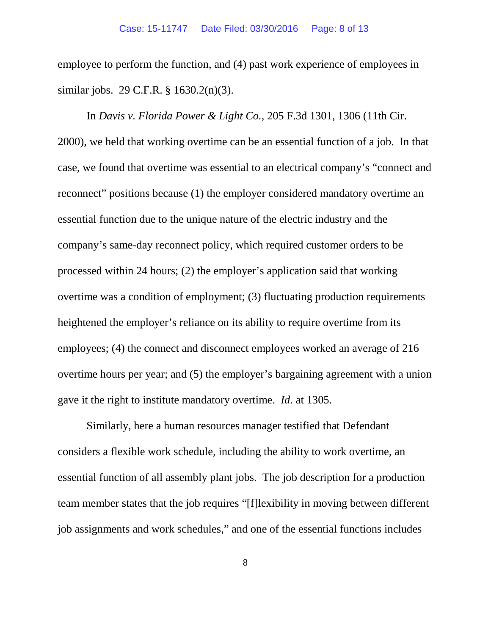employee to perform the function, and (4) past work experience of employees in similar jobs. 29 C.F.R. § 1630.2(n)(3).

In *Davis v. Florida Power & Light Co.*, 205 F.3d 1301, 1306 (11th Cir. 2000), we held that working overtime can be an essential function of a job. In that case, we found that overtime was essential to an electrical company's "connect and reconnect" positions because (1) the employer considered mandatory overtime an essential function due to the unique nature of the electric industry and the company's same-day reconnect policy, which required customer orders to be processed within 24 hours; (2) the employer's application said that working overtime was a condition of employment; (3) fluctuating production requirements heightened the employer's reliance on its ability to require overtime from its employees; (4) the connect and disconnect employees worked an average of 216 overtime hours per year; and (5) the employer's bargaining agreement with a union gave it the right to institute mandatory overtime. *Id.* at 1305.

Similarly, here a human resources manager testified that Defendant considers a flexible work schedule, including the ability to work overtime, an essential function of all assembly plant jobs. The job description for a production team member states that the job requires "[f]lexibility in moving between different job assignments and work schedules," and one of the essential functions includes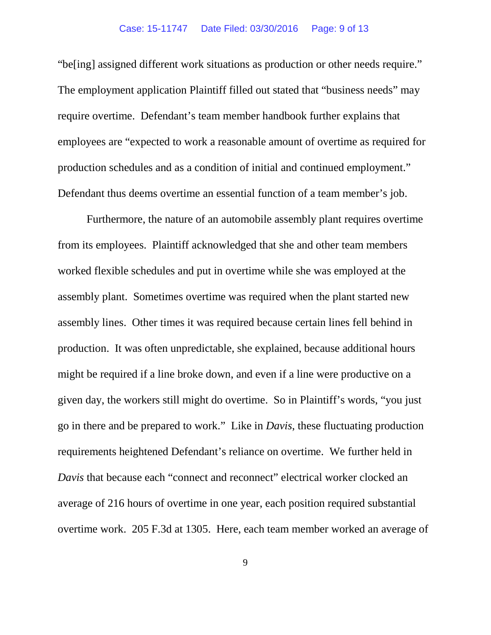"be[ing] assigned different work situations as production or other needs require." The employment application Plaintiff filled out stated that "business needs" may require overtime. Defendant's team member handbook further explains that employees are "expected to work a reasonable amount of overtime as required for production schedules and as a condition of initial and continued employment." Defendant thus deems overtime an essential function of a team member's job.

Furthermore, the nature of an automobile assembly plant requires overtime from its employees. Plaintiff acknowledged that she and other team members worked flexible schedules and put in overtime while she was employed at the assembly plant. Sometimes overtime was required when the plant started new assembly lines. Other times it was required because certain lines fell behind in production. It was often unpredictable, she explained, because additional hours might be required if a line broke down, and even if a line were productive on a given day, the workers still might do overtime. So in Plaintiff's words, "you just go in there and be prepared to work." Like in *Davis*, these fluctuating production requirements heightened Defendant's reliance on overtime. We further held in *Davis* that because each "connect and reconnect" electrical worker clocked an average of 216 hours of overtime in one year, each position required substantial overtime work. 205 F.3d at 1305. Here, each team member worked an average of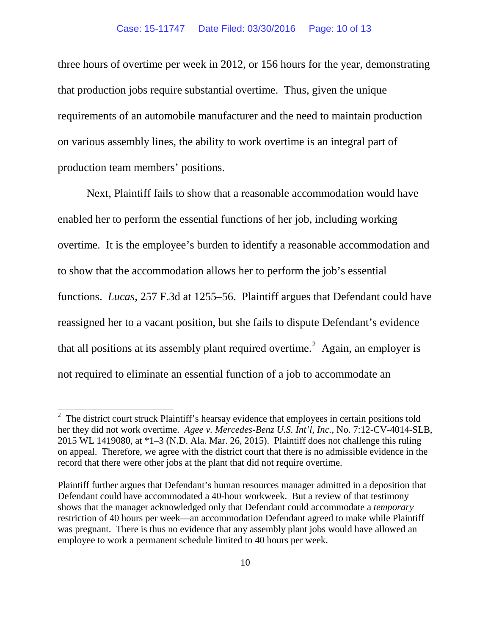three hours of overtime per week in 2012, or 156 hours for the year, demonstrating that production jobs require substantial overtime. Thus, given the unique requirements of an automobile manufacturer and the need to maintain production on various assembly lines, the ability to work overtime is an integral part of production team members' positions.

Next, Plaintiff fails to show that a reasonable accommodation would have enabled her to perform the essential functions of her job, including working overtime. It is the employee's burden to identify a reasonable accommodation and to show that the accommodation allows her to perform the job's essential functions. *Lucas*, 257 F.3d at 1255–56. Plaintiff argues that Defendant could have reassigned her to a vacant position, but she fails to dispute Defendant's evidence that all positions at its assembly plant required overtime.<sup>[2](#page-9-0)</sup> Again, an employer is not required to eliminate an essential function of a job to accommodate an

<span id="page-9-0"></span><sup>&</sup>lt;sup>2</sup> The district court struck Plaintiff's hearsay evidence that employees in certain positions told her they did not work overtime. *Agee v. Mercedes-Benz U.S. Int'l, Inc.*, No. 7:12-CV-4014-SLB, 2015 WL 1419080, at \*1–3 (N.D. Ala. Mar. 26, 2015). Plaintiff does not challenge this ruling on appeal. Therefore, we agree with the district court that there is no admissible evidence in the record that there were other jobs at the plant that did not require overtime.

Plaintiff further argues that Defendant's human resources manager admitted in a deposition that Defendant could have accommodated a 40-hour workweek. But a review of that testimony shows that the manager acknowledged only that Defendant could accommodate a *temporary* restriction of 40 hours per week—an accommodation Defendant agreed to make while Plaintiff was pregnant. There is thus no evidence that any assembly plant jobs would have allowed an employee to work a permanent schedule limited to 40 hours per week.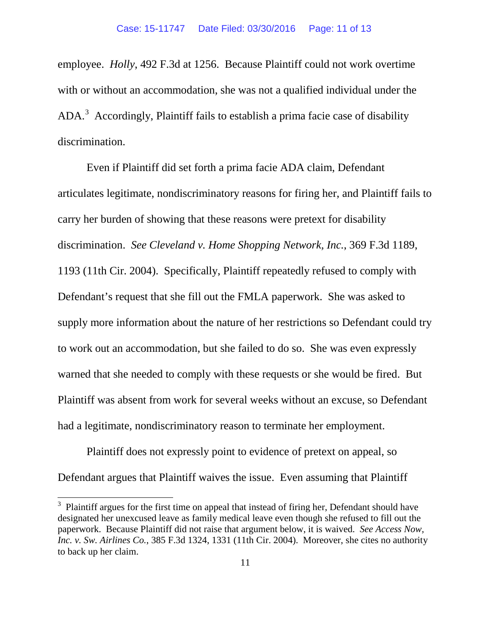employee. *Holly*, 492 F.3d at 1256. Because Plaintiff could not work overtime with or without an accommodation, she was not a qualified individual under the ADA.<sup>[3](#page-10-0)</sup> Accordingly, Plaintiff fails to establish a prima facie case of disability discrimination.

Even if Plaintiff did set forth a prima facie ADA claim, Defendant articulates legitimate, nondiscriminatory reasons for firing her, and Plaintiff fails to carry her burden of showing that these reasons were pretext for disability discrimination. *See Cleveland v. Home Shopping Network, Inc.*, 369 F.3d 1189, 1193 (11th Cir. 2004). Specifically, Plaintiff repeatedly refused to comply with Defendant's request that she fill out the FMLA paperwork. She was asked to supply more information about the nature of her restrictions so Defendant could try to work out an accommodation, but she failed to do so. She was even expressly warned that she needed to comply with these requests or she would be fired. But Plaintiff was absent from work for several weeks without an excuse, so Defendant had a legitimate, nondiscriminatory reason to terminate her employment.

Plaintiff does not expressly point to evidence of pretext on appeal, so Defendant argues that Plaintiff waives the issue. Even assuming that Plaintiff

<span id="page-10-0"></span><sup>&</sup>lt;sup>3</sup> Plaintiff argues for the first time on appeal that instead of firing her, Defendant should have designated her unexcused leave as family medical leave even though she refused to fill out the paperwork. Because Plaintiff did not raise that argument below, it is waived. *See Access Now, Inc. v. Sw. Airlines Co.*, 385 F.3d 1324, 1331 (11th Cir. 2004). Moreover, she cites no authority to back up her claim.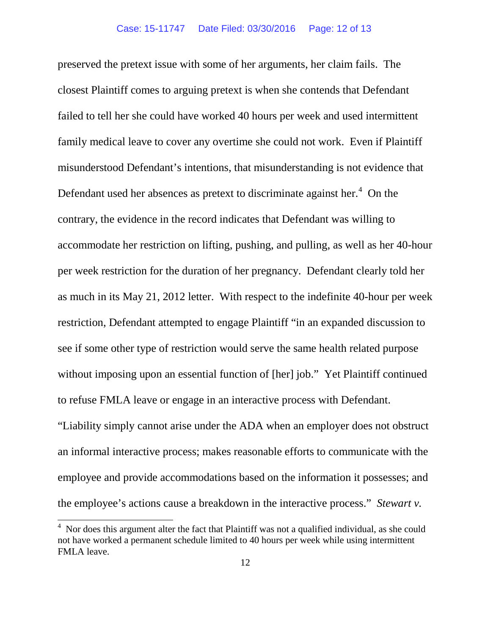preserved the pretext issue with some of her arguments, her claim fails. The closest Plaintiff comes to arguing pretext is when she contends that Defendant failed to tell her she could have worked 40 hours per week and used intermittent family medical leave to cover any overtime she could not work. Even if Plaintiff misunderstood Defendant's intentions, that misunderstanding is not evidence that Defendant used her absences as pretext to discriminate against her.<sup>[4](#page-11-0)</sup> On the contrary, the evidence in the record indicates that Defendant was willing to accommodate her restriction on lifting, pushing, and pulling, as well as her 40-hour per week restriction for the duration of her pregnancy. Defendant clearly told her as much in its May 21, 2012 letter. With respect to the indefinite 40-hour per week restriction, Defendant attempted to engage Plaintiff "in an expanded discussion to see if some other type of restriction would serve the same health related purpose without imposing upon an essential function of [her] job." Yet Plaintiff continued to refuse FMLA leave or engage in an interactive process with Defendant. "Liability simply cannot arise under the ADA when an employer does not obstruct an informal interactive process; makes reasonable efforts to communicate with the employee and provide accommodations based on the information it possesses; and the employee's actions cause a breakdown in the interactive process." *Stewart v.* 

<span id="page-11-0"></span> $4$  Nor does this argument alter the fact that Plaintiff was not a qualified individual, as she could not have worked a permanent schedule limited to 40 hours per week while using intermittent FMLA leave.